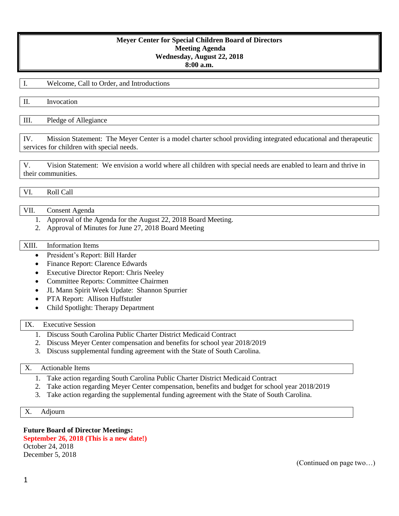## **Meyer Center for Special Children Board of Directors Meeting Agenda Wednesday, August 22, 2018 8:00 a.m.**

I. Welcome, Call to Order, and Introductions

II. Invocation

III. Pledge of Allegiance

IV. Mission Statement: The Meyer Center is a model charter school providing integrated educational and therapeutic services for children with special needs.

V. Vision Statement: We envision a world where all children with special needs are enabled to learn and thrive in their communities.

VI. Roll Call

## VII. Consent Agenda

- 1. Approval of the Agenda for the August 22, 2018 Board Meeting.
- 2. Approval of Minutes for June 27, 2018 Board Meeting

#### XIII. Information Items

- President's Report: Bill Harder
- Finance Report: Clarence Edwards
- Executive Director Report: Chris Neeley
- Committee Reports: Committee Chairmen
- JL Mann Spirit Week Update: Shannon Spurrier
- PTA Report: Allison Huffstutler
- Child Spotlight: Therapy Department

## IX. Executive Session

- 1. Discuss South Carolina Public Charter District Medicaid Contract
- 2. Discuss Meyer Center compensation and benefits for school year 2018/2019
- 3. Discuss supplemental funding agreement with the State of South Carolina.

#### X. Actionable Items

- 1. Take action regarding South Carolina Public Charter District Medicaid Contract
- 2. Take action regarding Meyer Center compensation, benefits and budget for school year 2018/2019
- 3. Take action regarding the supplemental funding agreement with the State of South Carolina.

### X. Adjourn

#### **Future Board of Director Meetings:**

**September 26, 2018 (This is a new date!)** October 24, 2018 December 5, 2018